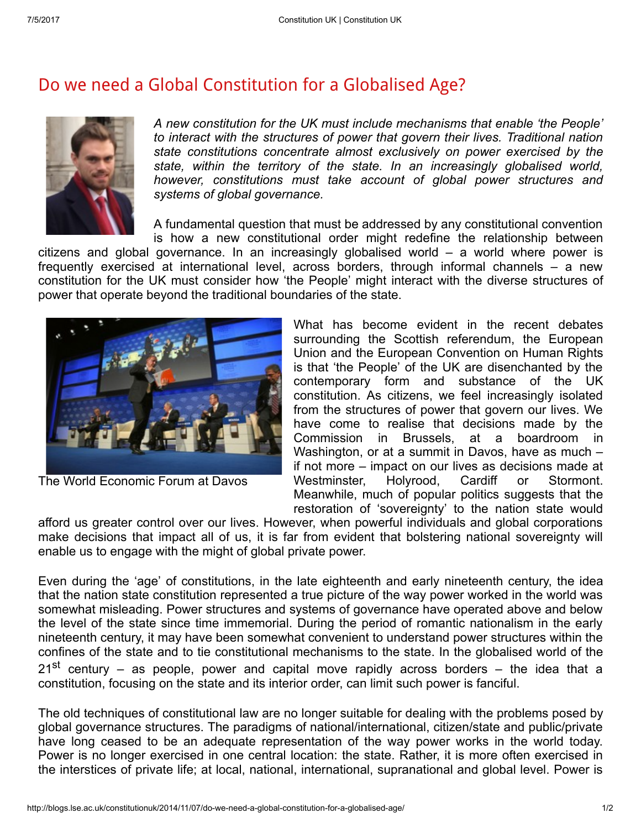## Do we need a Global [Constitution](http://blogs.lse.ac.uk/constitutionuk/2014/11/07/do-we-need-a-global-constitution-for-a-globalised-age/) for a Globalised Age?



A new constitution for the UK must include mechanisms that enable 'the People' to interact with the structures of power that govern their lives. Traditional nation state constitutions concentrate almost exclusively on power exercised by the state, within the territory of the state. In an increasingly globalised world, however, constitutions must take account of global power structures and systems of global governance.

A fundamental question that must be addressed by any constitutional convention is how a new constitutional order might redefine the relationship between

citizens and global governance. In an increasingly globalised world – a world where power is frequently exercised at international level, across borders, through informal channels – a new constitution for the UK must consider how 'the People' might interact with the diverse structures of power that operate beyond the traditional boundaries of the state.



The World Economic Forum at Davos

What has become evident in the recent debates surrounding the Scottish referendum, the European Union and the European Convention on Human Rights is that 'the People' of the UK are disenchanted by the contemporary form and substance of the UK constitution. As citizens, we feel increasingly isolated from the structures of power that govern our lives. We have come to realise that decisions made by the Commission in Brussels, at a boardroom in Washington, or at a summit in Davos, have as much – if not more – impact on our lives as decisions made at Westminster. Holyrood. Cardiff or Stormont. Meanwhile, much of popular politics suggests that the restoration of 'sovereignty' to the nation state would

afford us greater control over our lives. However, when powerful individuals and global corporations make decisions that impact all of us, it is far from evident that bolstering national sovereignty will enable us to engage with the might of global private power.

Even during the 'age' of constitutions, in the late eighteenth and early nineteenth century, the idea that the nation state constitution represented a true picture of the way power worked in the world was somewhat misleading. Power structures and systems of governance have operated above and below the level of the state since time immemorial. During the period of romantic nationalism in the early nineteenth century, it may have been somewhat convenient to understand power structures within the confines of the state and to tie constitutional mechanisms to the state. In the globalised world of the 21<sup>st</sup> century – as people, power and capital move rapidly across borders – the idea that a constitution, focusing on the state and its interior order, can limit such power is fanciful.

The old techniques of constitutional law are no longer suitable for dealing with the problems posed by global governance structures. The paradigms of national/international, citizen/state and public/private have long ceased to be an adequate representation of the way power works in the world today. Power is no longer exercised in one central location: the state. Rather, it is more often exercised in the interstices of private life; at local, national, international, supranational and global level. Power is